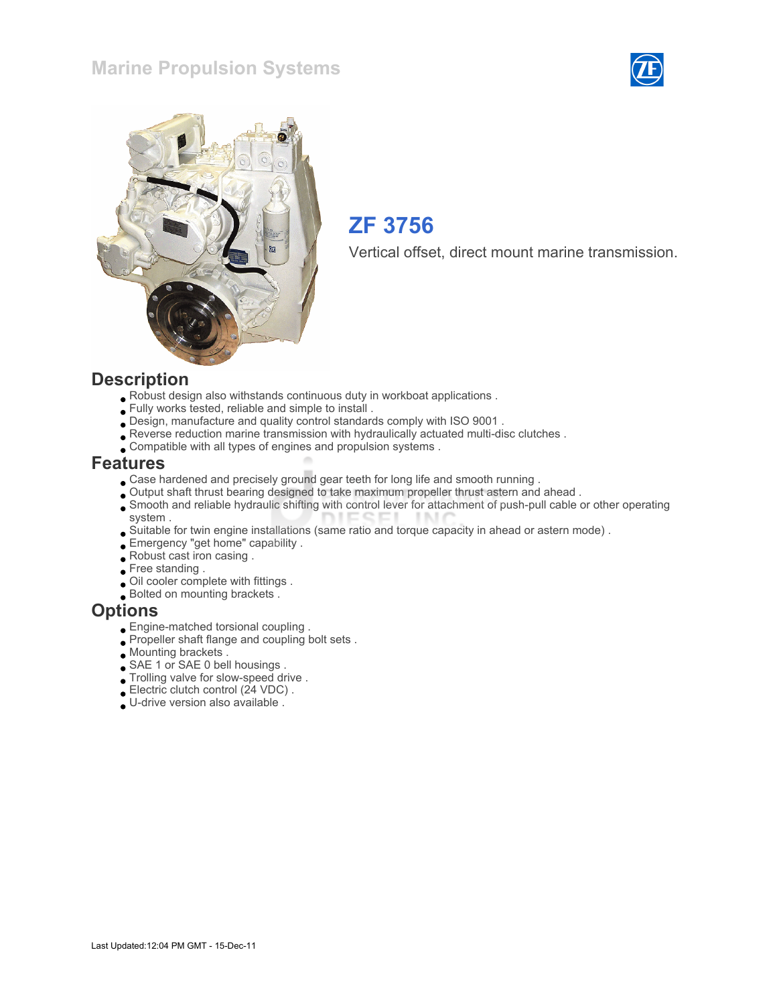### Marine Propulsion Systems





## ZF 3756

Vertical offset, direct mount marine transmission.

#### **Description**

- Robust design also withstands continuous duty in workboat applications .
- Fully works tested, reliable and simple to install .
- Design, manufacture and quality control standards comply with ISO 9001 .
- Reverse reduction marine transmission with hydraulically actuated multi-disc clutches .
- Compatible with all types of engines and propulsion systems .

#### Features

- Case hardened and precisely ground gear teeth for long life and smooth running .
- Output shaft thrust bearing designed to take maximum propeller thrust astern and ahead .
- Smooth and reliable hydraulic shifting with control lever for attachment of push-pull cable or other operating system .
- Suitable for twin engine installations (same ratio and torque capacity in ahead or astern mode) .
- Emergency "get home" capability .
- Robust cast iron casing .
- Free standing .
- Oil cooler complete with fittings .
- Bolted on mounting brackets .

#### **Options**

- Engine-matched torsional coupling .
- Propeller shaft flange and coupling bolt sets .
- Mounting brackets .
- SAE 1 or SAE 0 bell housings .
- Trolling valve for slow-speed drive .
- Electric clutch control (24 VDC) .
- U-drive version also available .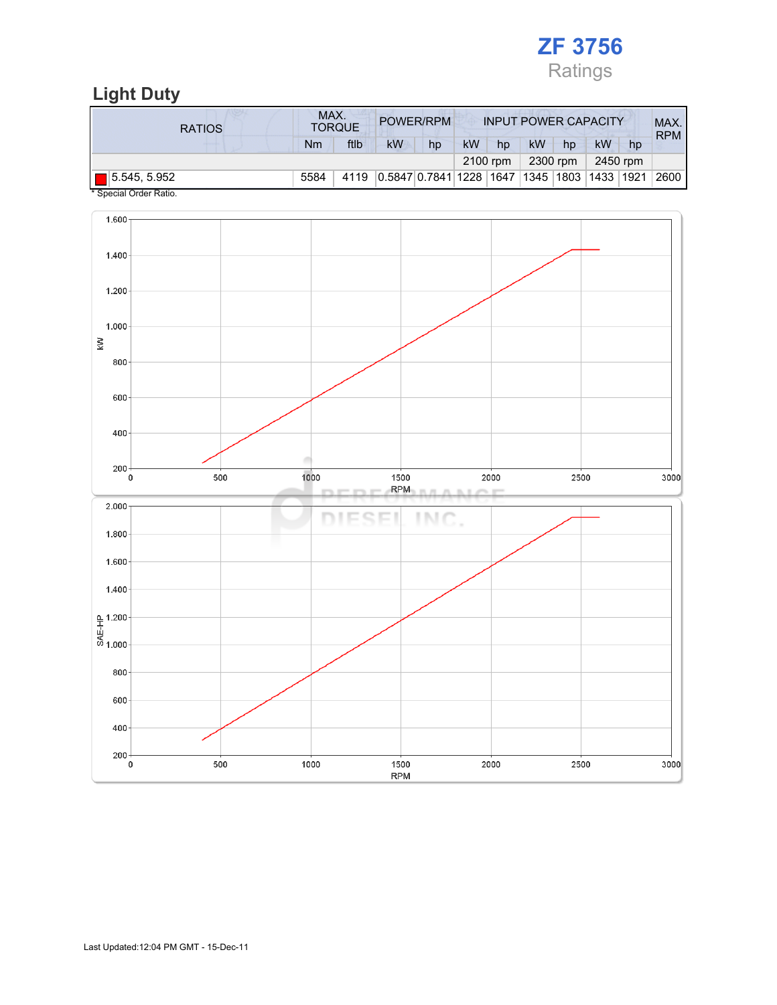

## Light Duty

| <b>RATIOS</b>               | MAX.<br>POWER/RPM<br><b>TORQUE</b> |      |                         |    |           | <b>INPUT POWER CAPACITY</b> |           |    |                        |    |            |
|-----------------------------|------------------------------------|------|-------------------------|----|-----------|-----------------------------|-----------|----|------------------------|----|------------|
|                             | Nm                                 | ftlb | kW                      | hp | <b>kW</b> | hp                          | <b>kW</b> | hp | kW                     | hp | <b>RPM</b> |
|                             |                                    |      |                         |    | 2100 rpm  |                             | 2300 rpm  |    | 2450 rpm               |    |            |
| $\blacksquare$ 5.545, 5.952 | 5584                               | 4119 | 0.5847 0.7841 1228 1647 |    |           |                             |           |    | 1345  1803  1433  1921 |    | 2600       |

\* Special Order Ratio.

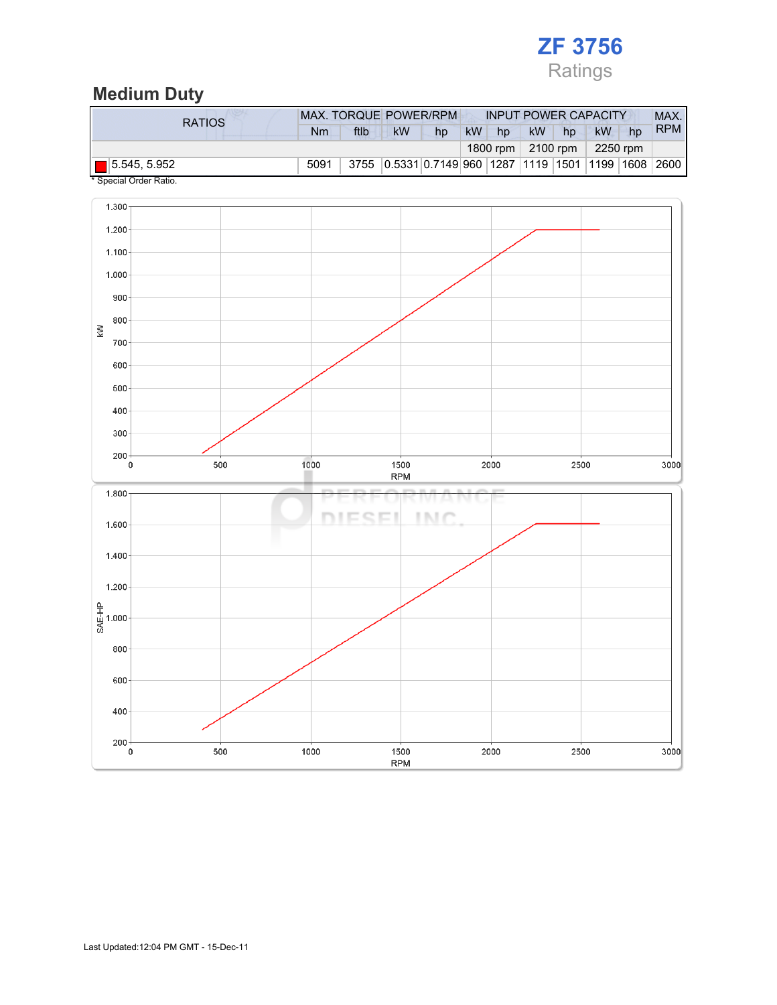## ZF 3756 Ratings

### Medium Duty

| <b>RATIOS</b>       | MAX. TORQUE POWER/RPM |      |    |                                                 |           | <b>INPUT POWER CAPACITY</b> |                           |    |           |    |            |
|---------------------|-----------------------|------|----|-------------------------------------------------|-----------|-----------------------------|---------------------------|----|-----------|----|------------|
|                     | Nm                    | ftlb | kW | hp                                              | <b>kW</b> | hp                          | <b>kW</b>                 | hp | <b>kW</b> | hp | <b>RPM</b> |
|                     |                       |      |    |                                                 |           |                             | 1800 rpm $\vert$ 2100 rpm |    | 2250 rpm  |    |            |
| $\Box$ 5.545, 5.952 | 5091                  |      |    | 3755 0.5331 0.7149 960 1287 1119 1501 1199 1608 |           |                             |                           |    |           |    | 2600       |

Special Order Ratio.

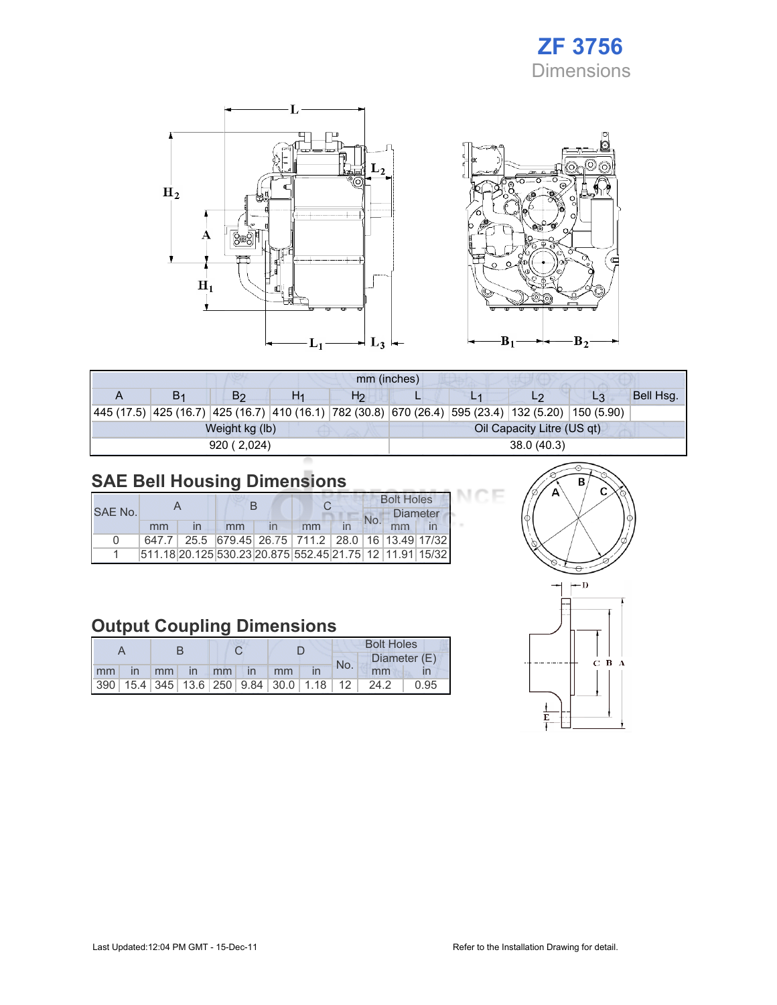## ZF 3756 Dimensions





| mm (inches)    |                |    |                |                            |  |    |                                                                                                            |           |  |  |
|----------------|----------------|----|----------------|----------------------------|--|----|------------------------------------------------------------------------------------------------------------|-----------|--|--|
| B <sub>1</sub> | B <sub>2</sub> | H1 | H <sub>2</sub> |                            |  | L2 | $L_3$                                                                                                      | Bell Hsg. |  |  |
|                |                |    |                |                            |  |    | 445 (17.5)  425 (16.7)  425 (16.7)  410 (16.1)  782 (30.8)  670 (26.4)  595 (23.4)  132 (5.20)  150 (5.90) |           |  |  |
|                | Weight kg (lb) |    |                | Oil Capacity Litre (US qt) |  |    |                                                                                                            |           |  |  |
|                | 920 (2,024)    |    |                | 38.0(40.3)                 |  |    |                                                                                                            |           |  |  |

## SAE Bell Housing Dimensions

|         |    |                                                         |    |  | <b>Bolt Holes</b> |                 |  |  |
|---------|----|---------------------------------------------------------|----|--|-------------------|-----------------|--|--|
| SAE No. |    |                                                         |    |  |                   | <b>Diameter</b> |  |  |
|         | mm | mm                                                      | mm |  |                   |                 |  |  |
| n       |    | 647.7 25.5 679.45 26.75 711.2 28.0 16 13.49 17/32       |    |  |                   |                 |  |  |
|         |    | 511.18 20.125 530.23 20.875 552.45 21.75 12 11.91 15/32 |    |  |                   |                 |  |  |

## Output Coupling Dimensions

|    |              |    |             |       |  |                                                         | <b>Bolt Holes</b> |     |              |      |  |
|----|--------------|----|-------------|-------|--|---------------------------------------------------------|-------------------|-----|--------------|------|--|
|    |              |    |             |       |  |                                                         |                   | No. | Diameter (E) |      |  |
| mm | $\mathsf{I}$ | mm | $\sqrt{10}$ | $-mm$ |  | mm                                                      |                   |     | mm           |      |  |
|    |              |    |             |       |  | 390   15.4   345   13.6   250   9.84   30.0   1.18   12 |                   |     | 24.2         | 0.95 |  |



7F